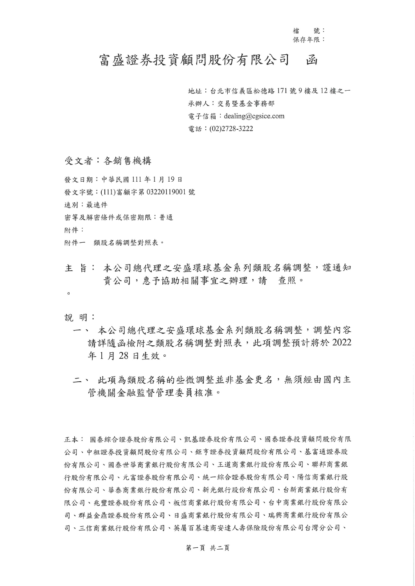檔 號: 保存年限:

## 富盛證券投資顧問股份有限公司 函

地址:台北市信義區松德路171號9樓及12樓之一 承辦人:交易暨基金事務部 電子信箱: dealing@cgsice.com 電話: (02)2728-3222

受文者:各銷售機構

發文日期:中華民國111年1月19日 發文字號: (111)富顧字第 03220119001號 速別:最速件 密等及解密條件或保密期限:普通 附件: 附件一 類股名稱調整對照表。

主 旨: 本公司總代理之安盛環球基金系列類股名稱調整,謹通知 貴公司, 惠予協助相關事宜之辦理, 請 查照。

 $\circ$ 

說 明:

- 一、 本公司總代理之安盛環球基金系列類股名稱調整,調整內容 請詳隨函檢附之類股名稱調整對照表,此項調整預計將於2022 年1月28日生效。
- 二、 此項為類股名稱的些微調整並非基金更名,無須經由國內主 管機關金融監督管理委員核准。

正本: 國泰綜合證券股份有限公司、凯基證券股份有限公司、國泰證券投資顧問股份有限 公司、中租證券投資顧問股份有限公司、鉅亨證券投資顧問股份有限公司、基富通證券股 份有限公司、國泰世華商業銀行股份有限公司、王道商業銀行股份有限公司、聯邦商業銀 行股份有限公司、元富證券股份有限公司、統一綜合證券股份有限公司、陽信商業銀行股 份有限公司、華泰商業銀行股份有限公司、新光銀行股份有限公司、台新商業銀行股份有 限公司、兆豐證券股份有限公司、板信商業銀行股份有限公司、台中商業銀行股份有限公 司、群益金鼎證券股份有限公司、日盛商業銀行股份有限公司、瑞興商業銀行股份有限公 司、三信商業銀行股份有限公司、英屬百慕達商安達人壽保險股份有限公司台灣分公司、

第一頁 共二頁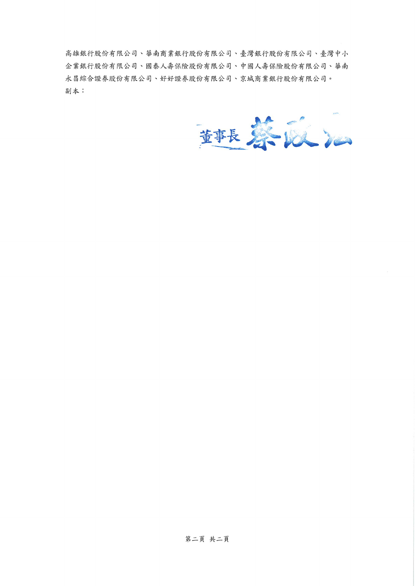高雄銀行股份有限公司、華南商業銀行股份有限公司、臺灣銀行股份有限公司、臺灣中小 企業銀行股份有限公司、國泰人壽保險股份有限公司、中國人壽保險股份有限公司、華南 永昌綜合證券股份有限公司、好好證券股份有限公司、京城商業銀行股份有限公司。 副本:

華長暮寂